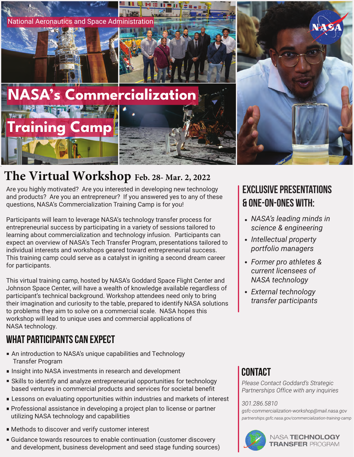

## **The Virtual Workshop Feb. 28- Mar. 2, 2022**

Are you highly motivated? Are you interested in developing new technology and products? Are you an entrepreneur? If you answered yes to any of these questions, NASA's Commercialization Training Camp is for you!

Participants will learn to leverage NASA's technology transfer process for entrepreneurial success by participating in a variety of sessions tailored to learning about commercialization and technology infusion. Participants can expect an overview of NASA's Tech Transfer Program, presentations tailored to individual interests and workshops geared toward entrepreneurial success. This training camp could serve as a catalyst in igniting a second dream career for participants.

This virtual training camp, hosted by NASA's Goddard Space Flight Center and Johnson Space Center, will have a wealth of knowledge available regardless of participant's technical background. Workshop attendees need only to bring their imagination and curiosity to the table, prepared to identify NASA solutions to problems they aim to solve on a commercial scale. NASA hopes this workshop will lead to unique uses and commercial applications of NASA technology.

### What Participants Can Expect

- An introduction to NASA's unique capabilities and Technology Transfer Program
- **Insight into NASA investments in research and development**
- Skills to identify and analyze entrepreneurial opportunities for technology based ventures in commercial products and services for societal benefit
- **Lessons on evaluating opportunities within industries and markets of interest** 301.286.5810
- **Professional assistance in developing a project plan to license or partner** utilizing NASA technology and capabilities
- Methods to discover and verify customer interest
- Guidance towards resources to enable continuation (customer discovery and development, business development and seed stage funding sources)

## Exclusive Presentations & one-on-ones with:

- *NASA's leading minds in science & engineering*
- *Intellectual property portfolio managers*
- *Former pro athletes & current licensees of NASA technology*
- *External technology transfer participants*

## **CONTACT**

*Please Contact Goddard's Strategic Partnerships Office with any inquiries* 

*gsfc-commercialization-workshop@mail.nasa.gov partnerships.gsfc.nasa.gov/commercialization-training-camp*